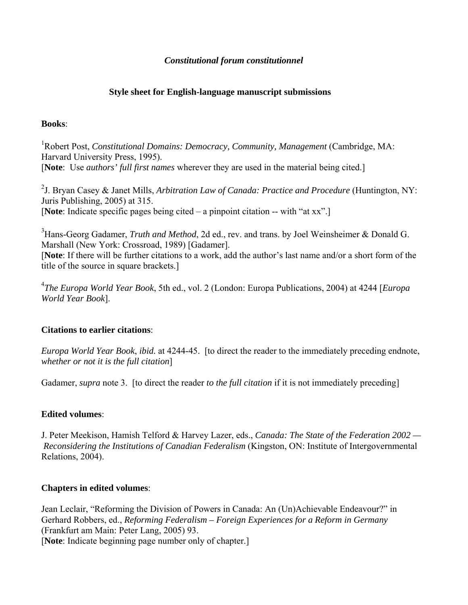### *Constitutional forum constitutionnel*

# **Style sheet for English-language manuscript submissions**

### **Books**:

<sup>1</sup>Robert Post, *Constitutional Domains: Democracy, Community, Management* (Cambridge, MA: Harvard University Press, 1995). [**Note**: Use *authors' full first names* wherever they are used in the material being cited.]

2 J. Bryan Casey & Janet Mills, *Arbitration Law of Canada: Practice and Procedure* (Huntington, NY: Juris Publishing, 2005) at 315. [**Note**: Indicate specific pages being cited – a pinpoint citation -- with "at xx".]

<sup>3</sup> Hans-Georg Gadamer, *Truth and Method*, 2d ed., rev. and trans. by Joel Weinsheimer & Donald G. Marshall (New York: Crossroad, 1989) [Gadamer]. [**Note**: If there will be further citations to a work, add the author's last name and/or a short form of the title of the source in square brackets.]

4 *The Europa World Year Book*, 5th ed., vol. 2 (London: Europa Publications, 2004) at 4244 [*Europa World Year Book*].

# **Citations to earlier citations**:

*Europa World Year Book*, *ibid.* at 4244-45. [to direct the reader to the immediately preceding endnote, *whether or not it is the full citation*]

Gadamer, *supra* note 3. [to direct the reader *to the full citation* if it is not immediately preceding]

# **Edited volumes**:

J. Peter Meekison, Hamish Telford & Harvey Lazer, eds., *Canada: The State of the Federation 2002 — Reconsidering the Institutions of Canadian Federalism* (Kingston, ON: Institute of Intergovernmental Relations, 2004).

# **Chapters in edited volumes**:

Jean Leclair, "Reforming the Division of Powers in Canada: An (Un)Achievable Endeavour?" in Gerhard Robbers, ed., *Reforming Federalism – Foreign Experiences for a Reform in Germany*  (Frankfurt am Main: Peter Lang, 2005) 93. [**Note**: Indicate beginning page number only of chapter.]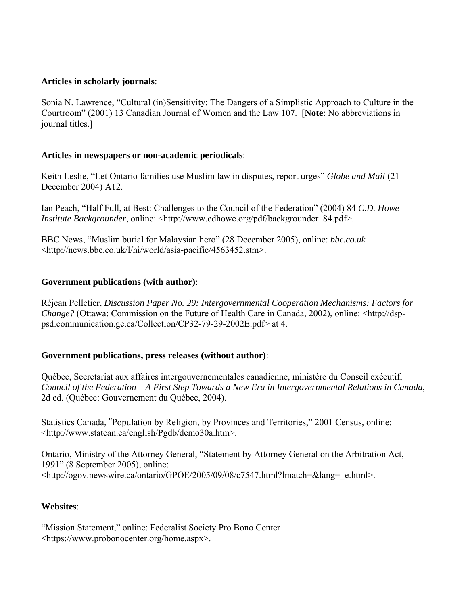## **Articles in scholarly journals**:

Sonia N. Lawrence, "Cultural (in)Sensitivity: The Dangers of a Simplistic Approach to Culture in the Courtroom" (2001) 13 Canadian Journal of Women and the Law 107. [**Note**: No abbreviations in journal titles.]

#### **Articles in newspapers or non-academic periodicals**:

Keith Leslie, "Let Ontario families use Muslim law in disputes, report urges" *Globe and Mail* (21 December 2004) A12.

Ian Peach, "Half Full, at Best: Challenges to the Council of the Federation" (2004) 84 *C.D. Howe Institute Backgrounder*, online: <http://www.cdhowe.org/pdf/backgrounder 84.pdf>.

BBC News, "Muslim burial for Malaysian hero" (28 December 2005), online: *bbc.co.uk*  <http://news.bbc.co.uk/l/hi/world/asia-pacific/4563452.stm>.

### **Government publications (with author)**:

Réjean Pelletier, *Discussion Paper No. 29: Intergovernmental Cooperation Mechanisms: Factors for Change?* (Ottawa: Commission on the Future of Health Care in Canada, 2002), online: <http://dsppsd.communication.gc.ca/Collection/CP32-79-29-2002E.pdf> at 4.

#### **Government publications, press releases (without author)**:

Québec, Secretariat aux affaires intergouvernementales canadienne, ministère du Conseil exécutif, *Council of the Federation – A First Step Towards a New Era in Intergovernmental Relations in Canada*, 2d ed. (Québec: Gouvernement du Québec, 2004).

Statistics Canada, "Population by Religion, by Provinces and Territories," 2001 Census, online: <http://www.statcan.ca/english/Pgdb/demo30a.htm>.

Ontario, Ministry of the Attorney General, "Statement by Attorney General on the Arbitration Act, 1991" (8 September 2005), online: <http://ogov.newswire.ca/ontario/GPOE/2005/09/08/c7547.html?lmatch=&lang=\_e.html>.

#### **Websites**:

"Mission Statement," online: Federalist Society Pro Bono Center <https://www.probonocenter.org/home.aspx>.